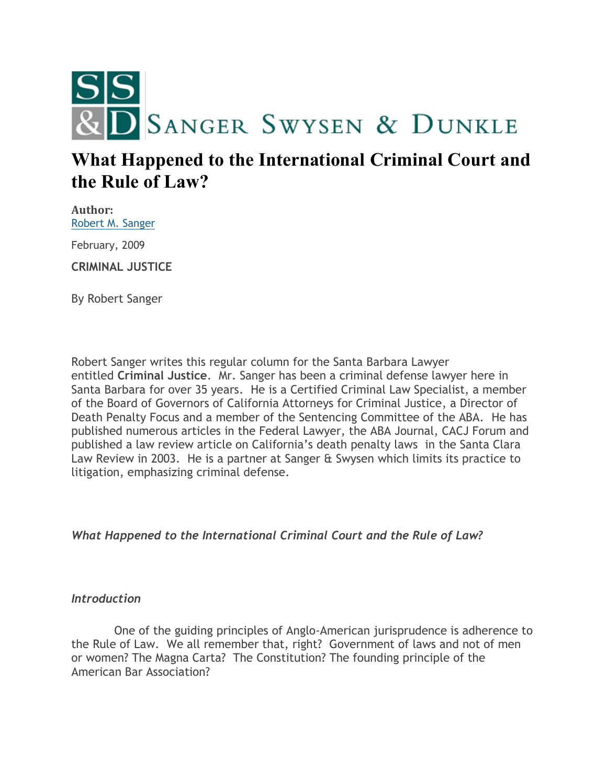

# **What Happened to the International Criminal Court and the Rule of Law?**

**Author:** [Robert M. Sanger](http://sangerswysen.com/robert-m-sanger)

February, 2009

**CRIMINAL JUSTICE**

By Robert Sanger

Robert Sanger writes this regular column for the Santa Barbara Lawyer entitled **Criminal Justice**. Mr. Sanger has been a criminal defense lawyer here in Santa Barbara for over 35 years. He is a Certified Criminal Law Specialist, a member of the Board of Governors of California Attorneys for Criminal Justice, a Director of Death Penalty Focus and a member of the Sentencing Committee of the ABA. He has published numerous articles in the Federal Lawyer, the ABA Journal, CACJ Forum and published a law review article on California's death penalty laws in the Santa Clara Law Review in 2003. He is a partner at Sanger & Swysen which limits its practice to litigation, emphasizing criminal defense.

*What Happened to the International Criminal Court and the Rule of Law?*

## *Introduction*

 One of the guiding principles of Anglo-American jurisprudence is adherence to the Rule of Law. We all remember that, right? Government of laws and not of men or women? The Magna Carta? The Constitution? The founding principle of the American Bar Association?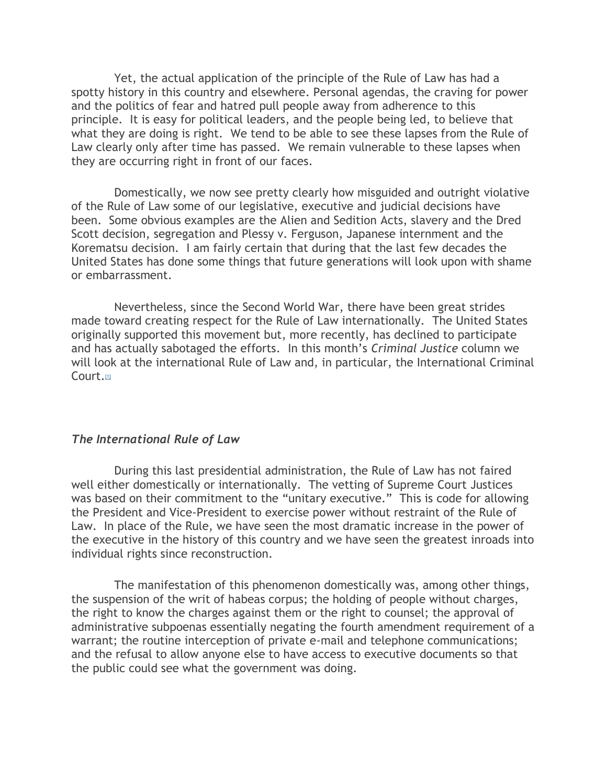Yet, the actual application of the principle of the Rule of Law has had a spotty history in this country and elsewhere. Personal agendas, the craving for power and the politics of fear and hatred pull people away from adherence to this principle. It is easy for political leaders, and the people being led, to believe that what they are doing is right. We tend to be able to see these lapses from the Rule of Law clearly only after time has passed. We remain vulnerable to these lapses when they are occurring right in front of our faces.

 Domestically, we now see pretty clearly how misguided and outright violative of the Rule of Law some of our legislative, executive and judicial decisions have been. Some obvious examples are the Alien and Sedition Acts, slavery and the Dred Scott decision, segregation and Plessy v. Ferguson, Japanese internment and the Korematsu decision. I am fairly certain that during that the last few decades the United States has done some things that future generations will look upon with shame or embarrassment.

 Nevertheless, since the Second World War, there have been great strides made toward creating respect for the Rule of Law internationally. The United States originally supported this movement but, more recently, has declined to participate and has actually sabotaged the efforts. In this month's *Criminal Justice* column we will look at the international Rule of Law and, in particular, the International Criminal Court.<sup>[\[1\]](#page-6-0)</sup>

#### *The International Rule of Law*

 During this last presidential administration, the Rule of Law has not faired well either domestically or internationally. The vetting of Supreme Court Justices was based on their commitment to the "unitary executive." This is code for allowing the President and Vice-President to exercise power without restraint of the Rule of Law. In place of the Rule, we have seen the most dramatic increase in the power of the executive in the history of this country and we have seen the greatest inroads into individual rights since reconstruction.

 The manifestation of this phenomenon domestically was, among other things, the suspension of the writ of habeas corpus; the holding of people without charges, the right to know the charges against them or the right to counsel; the approval of administrative subpoenas essentially negating the fourth amendment requirement of a warrant; the routine interception of private e-mail and telephone communications; and the refusal to allow anyone else to have access to executive documents so that the public could see what the government was doing.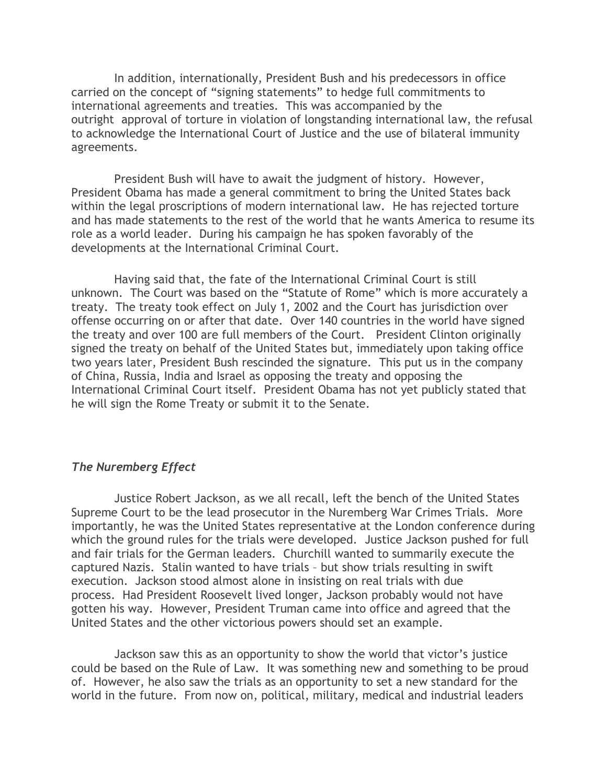In addition, internationally, President Bush and his predecessors in office carried on the concept of "signing statements" to hedge full commitments to international agreements and treaties. This was accompanied by the outright approval of torture in violation of longstanding international law, the refusal to acknowledge the International Court of Justice and the use of bilateral immunity agreements.

 President Bush will have to await the judgment of history. However, President Obama has made a general commitment to bring the United States back within the legal proscriptions of modern international law. He has rejected torture and has made statements to the rest of the world that he wants America to resume its role as a world leader. During his campaign he has spoken favorably of the developments at the International Criminal Court.

 Having said that, the fate of the International Criminal Court is still unknown. The Court was based on the "Statute of Rome" which is more accurately a treaty. The treaty took effect on July 1, 2002 and the Court has jurisdiction over offense occurring on or after that date. Over 140 countries in the world have signed the treaty and over 100 are full members of the Court. President Clinton originally signed the treaty on behalf of the United States but, immediately upon taking office two years later, President Bush rescinded the signature. This put us in the company of China, Russia, India and Israel as opposing the treaty and opposing the International Criminal Court itself. President Obama has not yet publicly stated that he will sign the Rome Treaty or submit it to the Senate.

#### *The Nuremberg Effect*

 Justice Robert Jackson, as we all recall, left the bench of the United States Supreme Court to be the lead prosecutor in the Nuremberg War Crimes Trials. More importantly, he was the United States representative at the London conference during which the ground rules for the trials were developed. Justice Jackson pushed for full and fair trials for the German leaders. Churchill wanted to summarily execute the captured Nazis. Stalin wanted to have trials – but show trials resulting in swift execution. Jackson stood almost alone in insisting on real trials with due process. Had President Roosevelt lived longer, Jackson probably would not have gotten his way. However, President Truman came into office and agreed that the United States and the other victorious powers should set an example.

 Jackson saw this as an opportunity to show the world that victor's justice could be based on the Rule of Law. It was something new and something to be proud of. However, he also saw the trials as an opportunity to set a new standard for the world in the future. From now on, political, military, medical and industrial leaders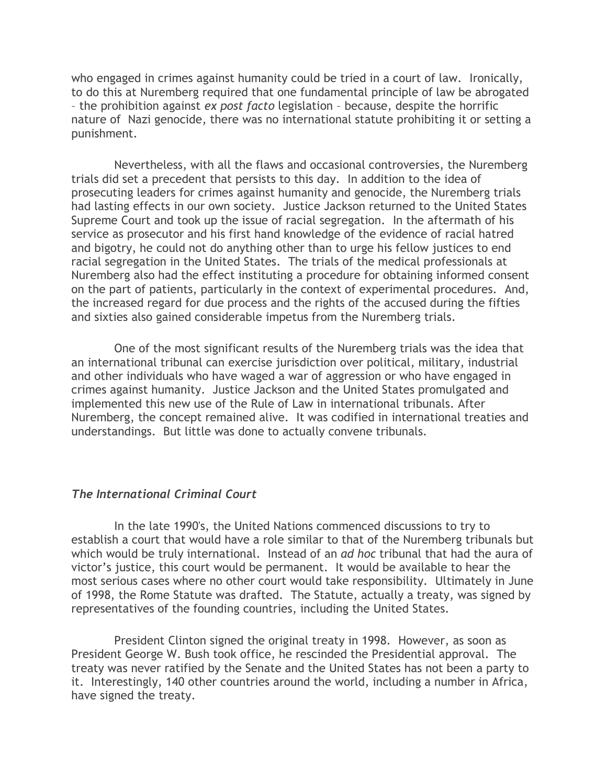who engaged in crimes against humanity could be tried in a court of law. Ironically, to do this at Nuremberg required that one fundamental principle of law be abrogated – the prohibition against *ex post facto* legislation – because, despite the horrific nature of Nazi genocide, there was no international statute prohibiting it or setting a punishment.

 Nevertheless, with all the flaws and occasional controversies, the Nuremberg trials did set a precedent that persists to this day. In addition to the idea of prosecuting leaders for crimes against humanity and genocide, the Nuremberg trials had lasting effects in our own society. Justice Jackson returned to the United States Supreme Court and took up the issue of racial segregation. In the aftermath of his service as prosecutor and his first hand knowledge of the evidence of racial hatred and bigotry, he could not do anything other than to urge his fellow justices to end racial segregation in the United States. The trials of the medical professionals at Nuremberg also had the effect instituting a procedure for obtaining informed consent on the part of patients, particularly in the context of experimental procedures. And, the increased regard for due process and the rights of the accused during the fifties and sixties also gained considerable impetus from the Nuremberg trials.

 One of the most significant results of the Nuremberg trials was the idea that an international tribunal can exercise jurisdiction over political, military, industrial and other individuals who have waged a war of aggression or who have engaged in crimes against humanity. Justice Jackson and the United States promulgated and implemented this new use of the Rule of Law in international tribunals. After Nuremberg, the concept remained alive. It was codified in international treaties and understandings. But little was done to actually convene tribunals.

## *The International Criminal Court*

 In the late 1990's, the United Nations commenced discussions to try to establish a court that would have a role similar to that of the Nuremberg tribunals but which would be truly international. Instead of an *ad hoc* tribunal that had the aura of victor's justice, this court would be permanent. It would be available to hear the most serious cases where no other court would take responsibility. Ultimately in June of 1998, the Rome Statute was drafted. The Statute, actually a treaty, was signed by representatives of the founding countries, including the United States.

 President Clinton signed the original treaty in 1998. However, as soon as President George W. Bush took office, he rescinded the Presidential approval. The treaty was never ratified by the Senate and the United States has not been a party to it. Interestingly, 140 other countries around the world, including a number in Africa, have signed the treaty.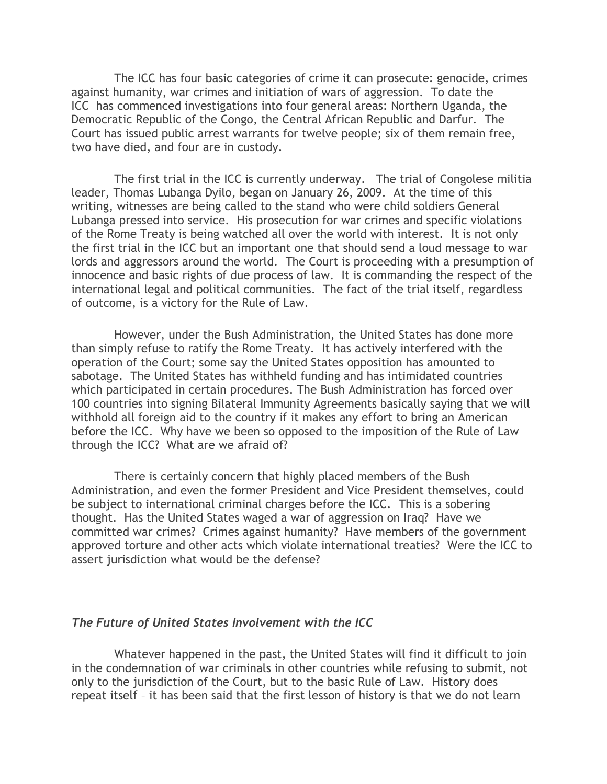The ICC has four basic categories of crime it can prosecute: genocide, crimes against humanity, war crimes and initiation of wars of aggression. To date the ICC has commenced investigations into four general areas: Northern Uganda, the Democratic Republic of the Congo, the Central African Republic and Darfur. The Court has issued public arrest warrants for twelve people; six of them remain free, two have died, and four are in custody.

 The first trial in the ICC is currently underway. The trial of Congolese militia leader, Thomas Lubanga Dyilo, began on January 26, 2009. At the time of this writing, witnesses are being called to the stand who were child soldiers General Lubanga pressed into service. His prosecution for war crimes and specific violations of the Rome Treaty is being watched all over the world with interest. It is not only the first trial in the ICC but an important one that should send a loud message to war lords and aggressors around the world. The Court is proceeding with a presumption of innocence and basic rights of due process of law. It is commanding the respect of the international legal and political communities. The fact of the trial itself, regardless of outcome, is a victory for the Rule of Law.

 However, under the Bush Administration, the United States has done more than simply refuse to ratify the Rome Treaty. It has actively interfered with the operation of the Court; some say the United States opposition has amounted to sabotage. The United States has withheld funding and has intimidated countries which participated in certain procedures. The Bush Administration has forced over 100 countries into signing Bilateral Immunity Agreements basically saying that we will withhold all foreign aid to the country if it makes any effort to bring an American before the ICC. Why have we been so opposed to the imposition of the Rule of Law through the ICC? What are we afraid of?

 There is certainly concern that highly placed members of the Bush Administration, and even the former President and Vice President themselves, could be subject to international criminal charges before the ICC. This is a sobering thought. Has the United States waged a war of aggression on Iraq? Have we committed war crimes? Crimes against humanity? Have members of the government approved torture and other acts which violate international treaties? Were the ICC to assert jurisdiction what would be the defense?

#### *The Future of United States Involvement with the ICC*

 Whatever happened in the past, the United States will find it difficult to join in the condemnation of war criminals in other countries while refusing to submit, not only to the jurisdiction of the Court, but to the basic Rule of Law. History does repeat itself – it has been said that the first lesson of history is that we do not learn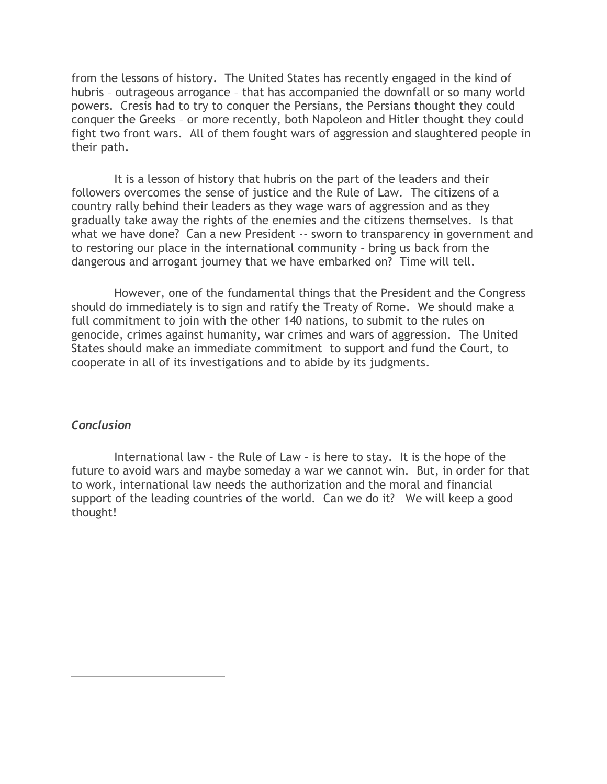from the lessons of history. The United States has recently engaged in the kind of hubris – outrageous arrogance – that has accompanied the downfall or so many world powers. Cresis had to try to conquer the Persians, the Persians thought they could conquer the Greeks – or more recently, both Napoleon and Hitler thought they could fight two front wars. All of them fought wars of aggression and slaughtered people in their path.

 It is a lesson of history that hubris on the part of the leaders and their followers overcomes the sense of justice and the Rule of Law. The citizens of a country rally behind their leaders as they wage wars of aggression and as they gradually take away the rights of the enemies and the citizens themselves. Is that what we have done? Can a new President -- sworn to transparency in government and to restoring our place in the international community – bring us back from the dangerous and arrogant journey that we have embarked on? Time will tell.

 However, one of the fundamental things that the President and the Congress should do immediately is to sign and ratify the Treaty of Rome. We should make a full commitment to join with the other 140 nations, to submit to the rules on genocide, crimes against humanity, war crimes and wars of aggression. The United States should make an immediate commitment to support and fund the Court, to cooperate in all of its investigations and to abide by its judgments.

### *Conclusion*

 International law – the Rule of Law – is here to stay. It is the hope of the future to avoid wars and maybe someday a war we cannot win. But, in order for that to work, international law needs the authorization and the moral and financial support of the leading countries of the world. Can we do it? We will keep a good thought!